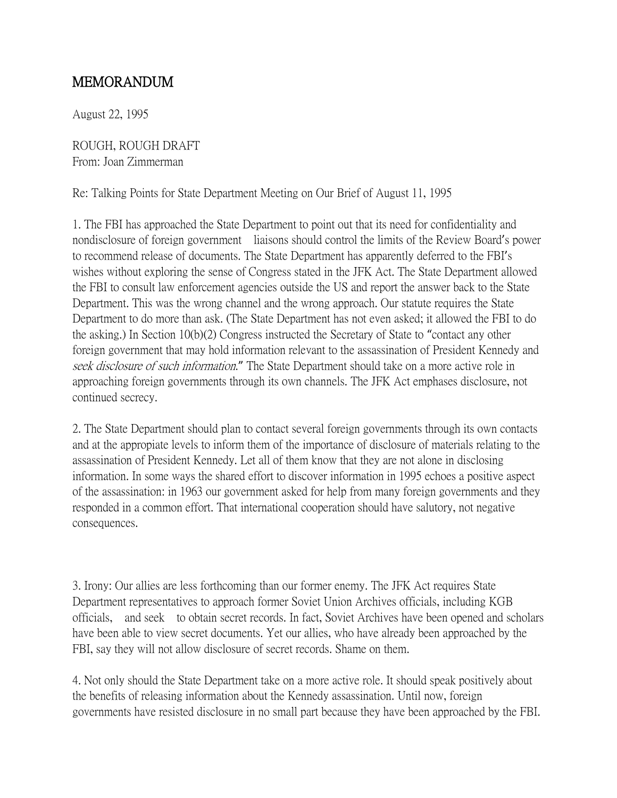## MEMORANDUM

August 22, 1995

ROUGH, ROUGH DRAFT From: Joan Zimmerman

Re: Talking Points for State Department Meeting on Our Brief of August 11, 1995

1. The FBI has approached the State Department to point out that its need for confidentiality and nondisclosure of foreign government liaisons should control the limits of the Review Board's power to recommend release of documents. The State Department has apparently deferred to the FBI's wishes without exploring the sense of Congress stated in the JFK Act. The State Department allowed the FBI to consult law enforcement agencies outside the US and report the answer back to the State Department. This was the wrong channel and the wrong approach. Our statute requires the State Department to do more than ask. (The State Department has not even asked; it allowed the FBI to do the asking.) In Section 10(b)(2) Congress instructed the Secretary of State to "contact any other foreign government that may hold information relevant to the assassination of President Kennedy and seek disclosure of such information." The State Department should take on a more active role in approaching foreign governments through its own channels. The JFK Act emphases disclosure, not continued secrecy.

2. The State Department should plan to contact several foreign governments through its own contacts and at the appropiate levels to inform them of the importance of disclosure of materials relating to the assassination of President Kennedy. Let all of them know that they are not alone in disclosing information. In some ways the shared effort to discover information in 1995 echoes a positive aspect of the assassination: in 1963 our government asked for help from many foreign governments and they responded in a common effort. That international cooperation should have salutory, not negative consequences.

3. Irony: Our allies are less forthcoming than our former enemy. The JFK Act requires State Department representatives to approach former Soviet Union Archives officials, including KGB officials, and seek to obtain secret records. In fact, Soviet Archives have been opened and scholars have been able to view secret documents. Yet our allies, who have already been approached by the FBI, say they will not allow disclosure of secret records. Shame on them.

4. Not only should the State Department take on a more active role. It should speak positively about the benefits of releasing information about the Kennedy assassination. Until now, foreign governments have resisted disclosure in no small part because they have been approached by the FBI.